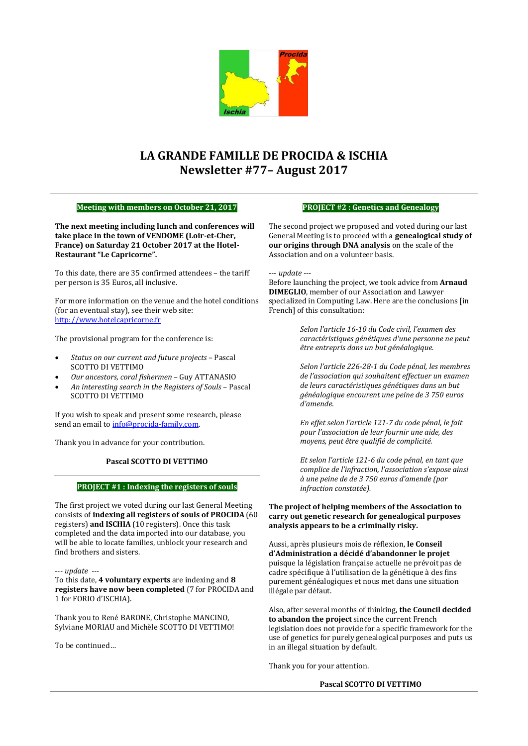

## **LA GRANDE FAMILLE DE PROCIDA & ISCHIA Newsletter #77– August 2017**

| Meeting with members on October 21, 2017                                                                                                                                                                                                                                                                                                                                                                                                                                                                                                                                                                                 | <b>PROJECT #2: Genetics and Genealogy</b>                                                                                                                                                                                                                                                                                                                                                                                                                                                                                                                                                                                                                                                                                                                                                                        |  |
|--------------------------------------------------------------------------------------------------------------------------------------------------------------------------------------------------------------------------------------------------------------------------------------------------------------------------------------------------------------------------------------------------------------------------------------------------------------------------------------------------------------------------------------------------------------------------------------------------------------------------|------------------------------------------------------------------------------------------------------------------------------------------------------------------------------------------------------------------------------------------------------------------------------------------------------------------------------------------------------------------------------------------------------------------------------------------------------------------------------------------------------------------------------------------------------------------------------------------------------------------------------------------------------------------------------------------------------------------------------------------------------------------------------------------------------------------|--|
| The next meeting including lunch and conferences will<br>take place in the town of VENDOME (Loir-et-Cher,<br>France) on Saturday 21 October 2017 at the Hotel-<br>Restaurant "Le Capricorne".                                                                                                                                                                                                                                                                                                                                                                                                                            | The second project we proposed and voted during our last<br>General Meeting is to proceed with a genealogical study of<br>our origins through DNA analysis on the scale of the<br>Association and on a volunteer basis.                                                                                                                                                                                                                                                                                                                                                                                                                                                                                                                                                                                          |  |
| To this date, there are 35 confirmed attendees - the tariff<br>per person is 35 Euros, all inclusive.<br>For more information on the venue and the hotel conditions<br>(for an eventual stay), see their web site:<br>http://www.hotelcapricorne.fr<br>The provisional program for the conference is:<br>Status on our current and future projects - Pascal<br>$\bullet$<br><b>SCOTTO DI VETTIMO</b><br>Our ancestors, coral fishermen - Guy ATTANASIO<br>$\bullet$<br>An interesting search in the Registers of Souls - Pascal<br>$\bullet$                                                                             | --- update ---<br>Before launching the project, we took advice from Arnaud<br><b>DIMEGLIO</b> , member of our Association and Lawyer<br>specialized in Computing Law. Here are the conclusions [in<br>French] of this consultation:<br>Selon l'article 16-10 du Code civil, l'examen des<br>caractéristiques génétiques d'une personne ne peut<br>être entrepris dans un but généalogique.<br>Selon l'article 226-28-1 du Code pénal, les membres<br>de l'association qui souhaitent effectuer un examen<br>de leurs caractéristiques génétiques dans un but                                                                                                                                                                                                                                                     |  |
| <b>SCOTTO DI VETTIMO</b><br>If you wish to speak and present some research, please<br>send an email to info@procida-family.com.<br>Thank you in advance for your contribution.<br>Pascal SCOTTO DI VETTIMO<br>PROJECT #1 : Indexing the registers of souls                                                                                                                                                                                                                                                                                                                                                               | généalogique encourent une peine de 3 750 euros<br>d'amende.<br>En effet selon l'article 121-7 du code pénal, le fait<br>pour l'association de leur fournir une aide, des<br>moyens, peut être qualifié de complicité.<br>Et selon l'article 121-6 du code pénal, en tant que<br>complice de l'infraction, l'association s'expose ainsi<br>à une peine de de 3 750 euros d'amende (par<br>infraction constatée).                                                                                                                                                                                                                                                                                                                                                                                                 |  |
| The first project we voted during our last General Meeting<br>consists of indexing all registers of souls of PROCIDA (60<br>registers) and ISCHIA (10 registers). Once this task<br>completed and the data imported into our database, you<br>will be able to locate families, unblock your research and<br>find brothers and sisters.<br>--- update ---<br>To this date, 4 voluntary experts are indexing and 8<br>registers have now been completed (7 for PROCIDA and<br>1 for FORIO d'ISCHIA).<br>Thank you to René BARONE, Christophe MANCINO,<br>Sylviane MORIAU and Michèle SCOTTO DI VETTIMO!<br>To be continued | The project of helping members of the Association to<br>carry out genetic research for genealogical purposes<br>analysis appears to be a criminally risky.<br>Aussi, après plusieurs mois de réflexion, le Conseil<br>d'Administration a décidé d'abandonner le projet<br>puisque la législation française actuelle ne prévoit pas de<br>cadre spécifique à l'utilisation de la génétique à des fins<br>purement généalogiques et nous met dans une situation<br>illégale par défaut.<br>Also, after several months of thinking, the Council decided<br>to abandon the project since the current French<br>legislation does not provide for a specific framework for the<br>use of genetics for purely genealogical purposes and puts us<br>in an illegal situation by default.<br>Thank you for your attention. |  |

**Pascal SCOTTO DI VETTIMO**